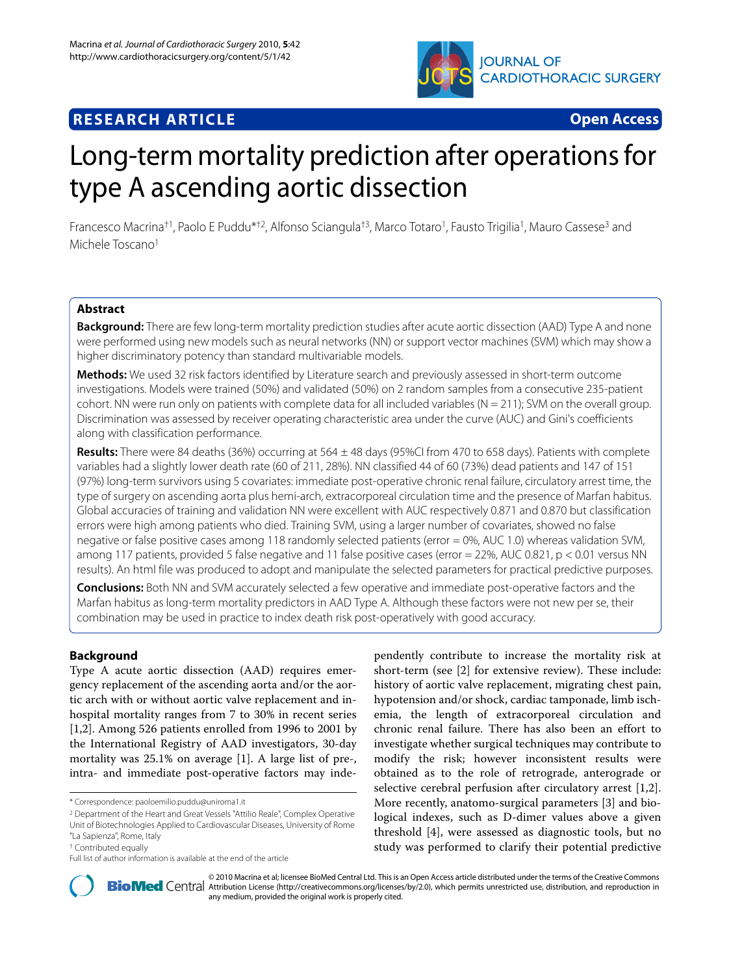

# **RESEARCH ARTICLE Open Access**

# Long-term mortality prediction after operations for type A ascending aortic dissection

Francesco Macrina<sup>†1</sup>, Paolo E Puddu<sup>\*†2</sup>, Alfonso Sciangula<sup>†3</sup>, Marco Totaro<sup>1</sup>, Fausto Trigilia<sup>1</sup>, Mauro Cassese<sup>3</sup> and Michele Toscano<sup>1</sup>

# **Abstract**

**Background:** There are few long-term mortality prediction studies after acute aortic dissection (AAD) Type A and none were performed using new models such as neural networks (NN) or support vector machines (SVM) which may show a higher discriminatory potency than standard multivariable models.

**Methods:** We used 32 risk factors identified by Literature search and previously assessed in short-term outcome investigations. Models were trained (50%) and validated (50%) on 2 random samples from a consecutive 235-patient cohort. NN were run only on patients with complete data for all included variables (N = 211); SVM on the overall group. Discrimination was assessed by receiver operating characteristic area under the curve (AUC) and Gini's coefficients along with classification performance.

**Results:** There were 84 deaths (36%) occurring at 564 ± 48 days (95%CI from 470 to 658 days). Patients with complete variables had a slightly lower death rate (60 of 211, 28%). NN classified 44 of 60 (73%) dead patients and 147 of 151 (97%) long-term survivors using 5 covariates: immediate post-operative chronic renal failure, circulatory arrest time, the type of surgery on ascending aorta plus hemi-arch, extracorporeal circulation time and the presence of Marfan habitus. Global accuracies of training and validation NN were excellent with AUC respectively 0.871 and 0.870 but classification errors were high among patients who died. Training SVM, using a larger number of covariates, showed no false negative or false positive cases among 118 randomly selected patients (error = 0%, AUC 1.0) whereas validation SVM, among 117 patients, provided 5 false negative and 11 false positive cases (error = 22%, AUC 0.821, p < 0.01 versus NN results). An html file was produced to adopt and manipulate the selected parameters for practical predictive purposes.

**Conclusions:** Both NN and SVM accurately selected a few operative and immediate post-operative factors and the Marfan habitus as long-term mortality predictors in AAD Type A. Although these factors were not new per se, their combination may be used in practice to index death risk post-operatively with good accuracy.

# **Background**

Type A acute aortic dissection (AAD) requires emergency replacement of the ascending aorta and/or the aortic arch with or without aortic valve replacement and inhospital mortality ranges from 7 to 30% in recent series [[1,](#page-6-0)[2\]](#page-6-1). Among 526 patients enrolled from 1996 to 2001 by the International Registry of AAD investigators, 30-day mortality was 25.1% on average [[1\]](#page-6-0). A large list of pre-, intra- and immediate post-operative factors may inde-

pendently contribute to increase the mortality risk at short-term (see [\[2](#page-6-1)] for extensive review). These include: history of aortic valve replacement, migrating chest pain, hypotension and/or shock, cardiac tamponade, limb ischemia, the length of extracorporeal circulation and chronic renal failure. There has also been an effort to investigate whether surgical techniques may contribute to modify the risk; however inconsistent results were obtained as to the role of retrograde, anterograde or selective cerebral perfusion after circulatory arrest [\[1](#page-6-0)[,2](#page-6-1)]. More recently, anatomo-surgical parameters [\[3](#page-6-2)] and biological indexes, such as D-dimer values above a given threshold [[4\]](#page-6-3), were assessed as diagnostic tools, but no study was performed to clarify their potential predictive



2010 Macrina et al; licensee [BioMed](http://www.biomedcentral.com/) Central Ltd. This is an Open Access article distributed under the terms of the Creative Commons (http://creativecommons.org/licenses/by/2.0), which permits unrestricted use, distribution any medium, provided the original work is properly cited.

<sup>\*</sup> Correspondence: paoloemilio.puddu@uniroma1.it

<sup>2</sup> Department of the Heart and Great Vessels "Attilio Reale", Complex Operative Unit of Biotechnologies Applied to Cardiovascular Diseases, University of Rome

<sup>&</sup>quot;La Sapienza", Rome, Italy

<sup>†</sup> Contributed equally

Full list of author information is available at the end of the article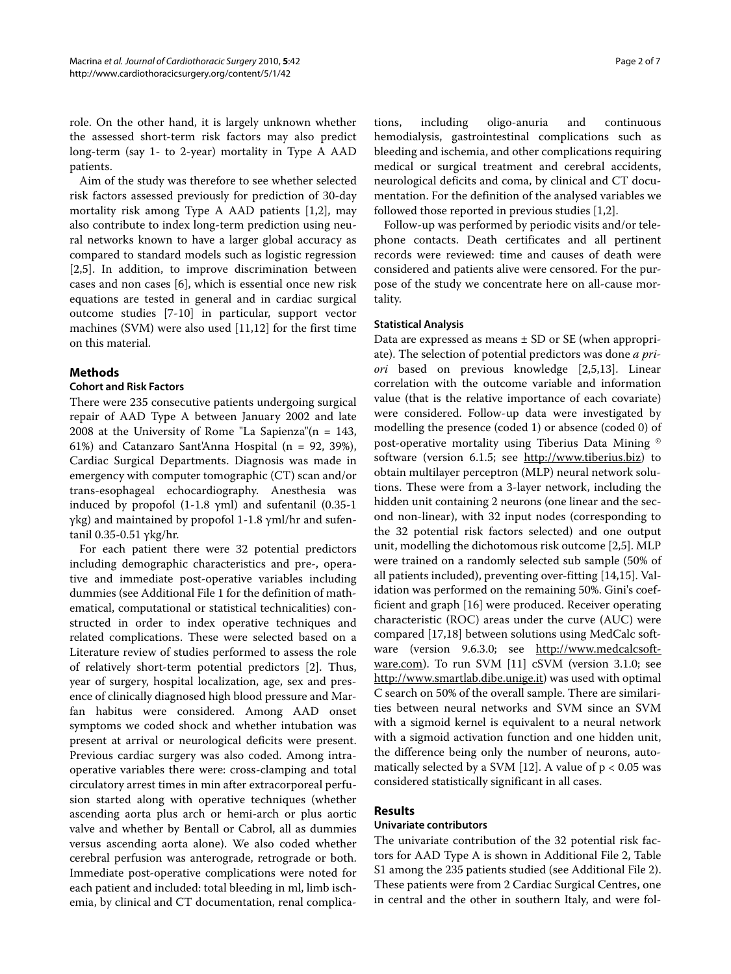role. On the other hand, it is largely unknown whether the assessed short-term risk factors may also predict long-term (say 1- to 2-year) mortality in Type A AAD patients.

Aim of the study was therefore to see whether selected risk factors assessed previously for prediction of 30-day mortality risk among Type A AAD patients [[1,](#page-6-0)[2\]](#page-6-1), may also contribute to index long-term prediction using neural networks known to have a larger global accuracy as compared to standard models such as logistic regression [[2,](#page-6-1)[5\]](#page-6-4). In addition, to improve discrimination between cases and non cases [\[6](#page-6-5)], which is essential once new risk equations are tested in general and in cardiac surgical outcome studies [[7-](#page-6-6)[10\]](#page-6-7) in particular, support vector machines (SVM) were also used [[11](#page-6-8),[12](#page-6-9)] for the first time on this material.

# **Methods**

# **Cohort and Risk Factors**

There were 235 consecutive patients undergoing surgical repair of AAD Type A between January 2002 and late 2008 at the University of Rome "La Sapienza" $(n = 143,$ 61%) and Catanzaro Sant'Anna Hospital (n = 92, 39%), Cardiac Surgical Departments. Diagnosis was made in emergency with computer tomographic (CT) scan and/or trans-esophageal echocardiography. Anesthesia was induced by propofol  $(1-1.8 \text{ yml})$  and sufentanil  $(0.35-1)$ γkg) and maintained by propofol 1-1.8 γml/hr and sufentanil 0.35-0.51 γkg/hr.

For each patient there were 32 potential predictors including demographic characteristics and pre-, operative and immediate post-operative variables including dummies (see Additional File [1](#page-6-10) for the definition of mathematical, computational or statistical technicalities) constructed in order to index operative techniques and related complications. These were selected based on a Literature review of studies performed to assess the role of relatively short-term potential predictors [[2\]](#page-6-1). Thus, year of surgery, hospital localization, age, sex and presence of clinically diagnosed high blood pressure and Marfan habitus were considered. Among AAD onset symptoms we coded shock and whether intubation was present at arrival or neurological deficits were present. Previous cardiac surgery was also coded. Among intraoperative variables there were: cross-clamping and total circulatory arrest times in min after extracorporeal perfusion started along with operative techniques (whether ascending aorta plus arch or hemi-arch or plus aortic valve and whether by Bentall or Cabrol, all as dummies versus ascending aorta alone). We also coded whether cerebral perfusion was anterograde, retrograde or both. Immediate post-operative complications were noted for each patient and included: total bleeding in ml, limb ischemia, by clinical and CT documentation, renal complica-

tions, including oligo-anuria and continuous hemodialysis, gastrointestinal complications such as bleeding and ischemia, and other complications requiring medical or surgical treatment and cerebral accidents, neurological deficits and coma, by clinical and CT documentation. For the definition of the analysed variables we followed those reported in previous studies [\[1](#page-6-0),[2](#page-6-1)].

Follow-up was performed by periodic visits and/or telephone contacts. Death certificates and all pertinent records were reviewed: time and causes of death were considered and patients alive were censored. For the purpose of the study we concentrate here on all-cause mortality.

#### **Statistical Analysis**

Data are expressed as means  $\pm$  SD or SE (when appropriate). The selection of potential predictors was done *a priori* based on previous knowledge [\[2](#page-6-1)[,5](#page-6-4),[13](#page-6-11)]. Linear correlation with the outcome variable and information value (that is the relative importance of each covariate) were considered. Follow-up data were investigated by modelling the presence (coded 1) or absence (coded 0) of post-operative mortality using Tiberius Data Mining © software (version 6.1.5; see <http://www.tiberius.biz>) to obtain multilayer perceptron (MLP) neural network solutions. These were from a 3-layer network, including the hidden unit containing 2 neurons (one linear and the second non-linear), with 32 input nodes (corresponding to the 32 potential risk factors selected) and one output unit, modelling the dichotomous risk outcome [[2,](#page-6-1)[5\]](#page-6-4). MLP were trained on a randomly selected sub sample (50% of all patients included), preventing over-fitting [\[14](#page-6-12)[,15](#page-6-13)]. Validation was performed on the remaining 50%. Gini's coefficient and graph [\[16](#page-6-14)] were produced. Receiver operating characteristic (ROC) areas under the curve (AUC) were compared [\[17](#page-6-15)[,18](#page-6-16)] between solutions using MedCalc software (version 9.6.3.0; see [http://www.medcalcsoft](http://www.medcalcsoftware.com)[ware.com](http://www.medcalcsoftware.com)). To run SVM [\[11\]](#page-6-8) cSVM (version 3.1.0; see <http://www.smartlab.dibe.unige.it>) was used with optimal C search on 50% of the overall sample. There are similarities between neural networks and SVM since an SVM with a sigmoid kernel is equivalent to a neural network with a sigmoid activation function and one hidden unit, the difference being only the number of neurons, auto-matically selected by a SVM [[12\]](#page-6-9). A value of  $p < 0.05$  was considered statistically significant in all cases.

#### **Results**

#### **Univariate contributors**

The univariate contribution of the 32 potential risk factors for AAD Type A is shown in Additional File [2,](#page-6-17) Table S1 among the 235 patients studied (see Additional File [2](#page-6-17)). These patients were from 2 Cardiac Surgical Centres, one in central and the other in southern Italy, and were fol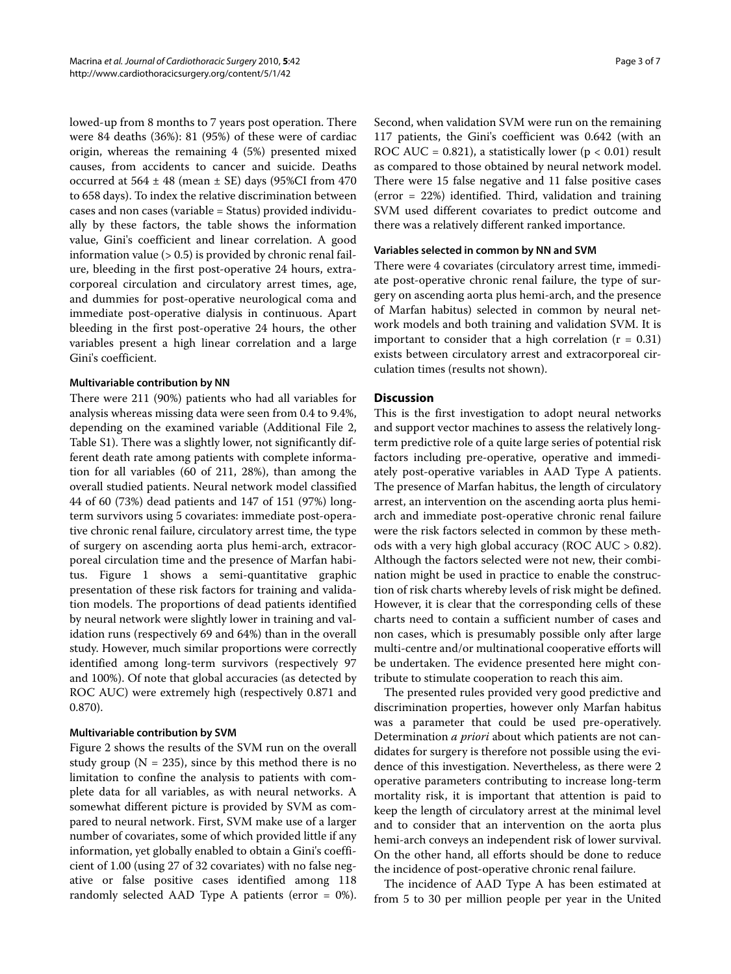lowed-up from 8 months to 7 years post operation. There were 84 deaths (36%): 81 (95%) of these were of cardiac origin, whereas the remaining 4 (5%) presented mixed causes, from accidents to cancer and suicide. Deaths occurred at  $564 \pm 48$  (mean  $\pm$  SE) days (95%CI from 470 to 658 days). To index the relative discrimination between cases and non cases (variable = Status) provided individually by these factors, the table shows the information value, Gini's coefficient and linear correlation. A good information value  $(> 0.5)$  is provided by chronic renal failure, bleeding in the first post-operative 24 hours, extracorporeal circulation and circulatory arrest times, age, and dummies for post-operative neurological coma and immediate post-operative dialysis in continuous. Apart bleeding in the first post-operative 24 hours, the other variables present a high linear correlation and a large Gini's coefficient.

#### **Multivariable contribution by NN**

There were 211 (90%) patients who had all variables for analysis whereas missing data were seen from 0.4 to 9.4%, depending on the examined variable (Additional File [2](#page-6-17), Table S1). There was a slightly lower, not significantly different death rate among patients with complete information for all variables (60 of 211, 28%), than among the overall studied patients. Neural network model classified 44 of 60 (73%) dead patients and 147 of 151 (97%) longterm survivors using 5 covariates: immediate post-operative chronic renal failure, circulatory arrest time, the type of surgery on ascending aorta plus hemi-arch, extracorporeal circulation time and the presence of Marfan habitus. Figure [1](#page-3-0) shows a semi-quantitative graphic presentation of these risk factors for training and validation models. The proportions of dead patients identified by neural network were slightly lower in training and validation runs (respectively 69 and 64%) than in the overall study. However, much similar proportions were correctly identified among long-term survivors (respectively 97 and 100%). Of note that global accuracies (as detected by ROC AUC) were extremely high (respectively 0.871 and 0.870).

# **Multivariable contribution by SVM**

Figure [2](#page-4-0) shows the results of the SVM run on the overall study group ( $N = 235$ ), since by this method there is no limitation to confine the analysis to patients with complete data for all variables, as with neural networks. A somewhat different picture is provided by SVM as compared to neural network. First, SVM make use of a larger number of covariates, some of which provided little if any information, yet globally enabled to obtain a Gini's coefficient of 1.00 (using 27 of 32 covariates) with no false negative or false positive cases identified among 118 randomly selected AAD Type A patients (error  $= 0\%$ ). Second, when validation SVM were run on the remaining 117 patients, the Gini's coefficient was 0.642 (with an ROC AUC = 0.821), a statistically lower ( $p < 0.01$ ) result as compared to those obtained by neural network model. There were 15 false negative and 11 false positive cases (error = 22%) identified. Third, validation and training SVM used different covariates to predict outcome and there was a relatively different ranked importance.

#### **Variables selected in common by NN and SVM**

There were 4 covariates (circulatory arrest time, immediate post-operative chronic renal failure, the type of surgery on ascending aorta plus hemi-arch, and the presence of Marfan habitus) selected in common by neural network models and both training and validation SVM. It is important to consider that a high correlation  $(r = 0.31)$ exists between circulatory arrest and extracorporeal circulation times (results not shown).

# **Discussion**

This is the first investigation to adopt neural networks and support vector machines to assess the relatively longterm predictive role of a quite large series of potential risk factors including pre-operative, operative and immediately post-operative variables in AAD Type A patients. The presence of Marfan habitus, the length of circulatory arrest, an intervention on the ascending aorta plus hemiarch and immediate post-operative chronic renal failure were the risk factors selected in common by these methods with a very high global accuracy (ROC AUC > 0.82). Although the factors selected were not new, their combination might be used in practice to enable the construction of risk charts whereby levels of risk might be defined. However, it is clear that the corresponding cells of these charts need to contain a sufficient number of cases and non cases, which is presumably possible only after large multi-centre and/or multinational cooperative efforts will be undertaken. The evidence presented here might contribute to stimulate cooperation to reach this aim.

The presented rules provided very good predictive and discrimination properties, however only Marfan habitus was a parameter that could be used pre-operatively. Determination *a priori* about which patients are not candidates for surgery is therefore not possible using the evidence of this investigation. Nevertheless, as there were 2 operative parameters contributing to increase long-term mortality risk, it is important that attention is paid to keep the length of circulatory arrest at the minimal level and to consider that an intervention on the aorta plus hemi-arch conveys an independent risk of lower survival. On the other hand, all efforts should be done to reduce the incidence of post-operative chronic renal failure.

The incidence of AAD Type A has been estimated at from 5 to 30 per million people per year in the United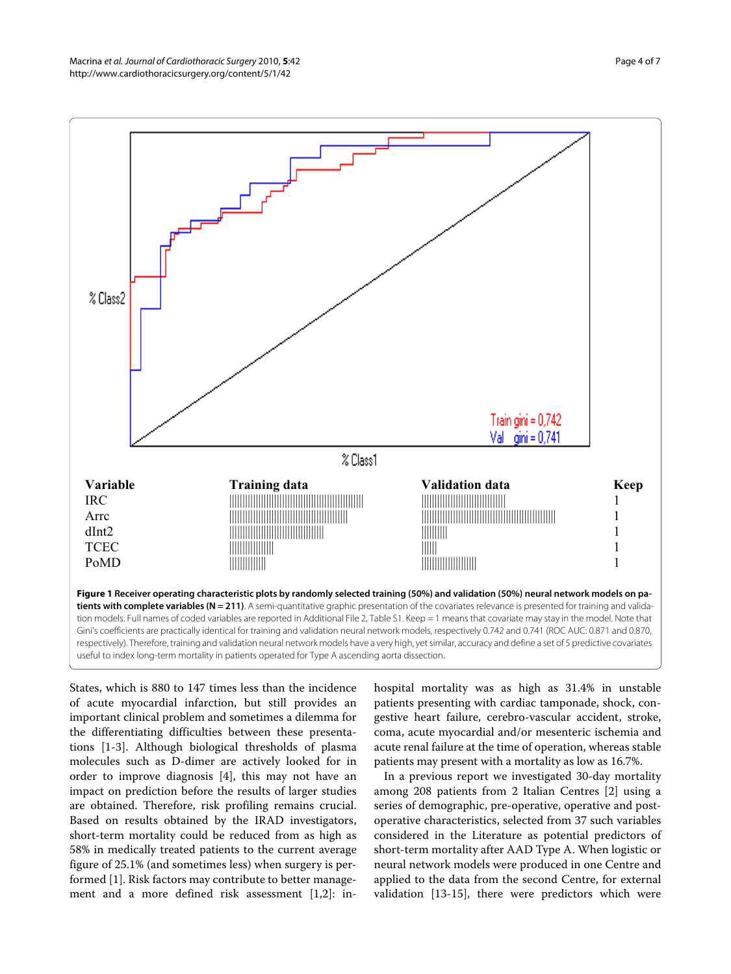<span id="page-3-0"></span>

States, which is 880 to 147 times less than the incidence of acute myocardial infarction, but still provides an important clinical problem and sometimes a dilemma for the differentiating difficulties between these presentations [[1-](#page-6-0)[3](#page-6-2)]. Although biological thresholds of plasma molecules such as D-dimer are actively looked for in order to improve diagnosis [[4\]](#page-6-3), this may not have an impact on prediction before the results of larger studies are obtained. Therefore, risk profiling remains crucial. Based on results obtained by the IRAD investigators, short-term mortality could be reduced from as high as 58% in medically treated patients to the current average figure of 25.1% (and sometimes less) when surgery is performed [[1\]](#page-6-0). Risk factors may contribute to better management and a more defined risk assessment [\[1](#page-6-0),[2](#page-6-1)]: in-

hospital mortality was as high as 31.4% in unstable patients presenting with cardiac tamponade, shock, congestive heart failure, cerebro-vascular accident, stroke, coma, acute myocardial and/or mesenteric ischemia and acute renal failure at the time of operation, whereas stable patients may present with a mortality as low as 16.7%.

In a previous report we investigated 30-day mortality among 208 patients from 2 Italian Centres [[2\]](#page-6-1) using a series of demographic, pre-operative, operative and postoperative characteristics, selected from 37 such variables considered in the Literature as potential predictors of short-term mortality after AAD Type A. When logistic or neural network models were produced in one Centre and applied to the data from the second Centre, for external validation [\[13](#page-6-11)-[15](#page-6-13)], there were predictors which were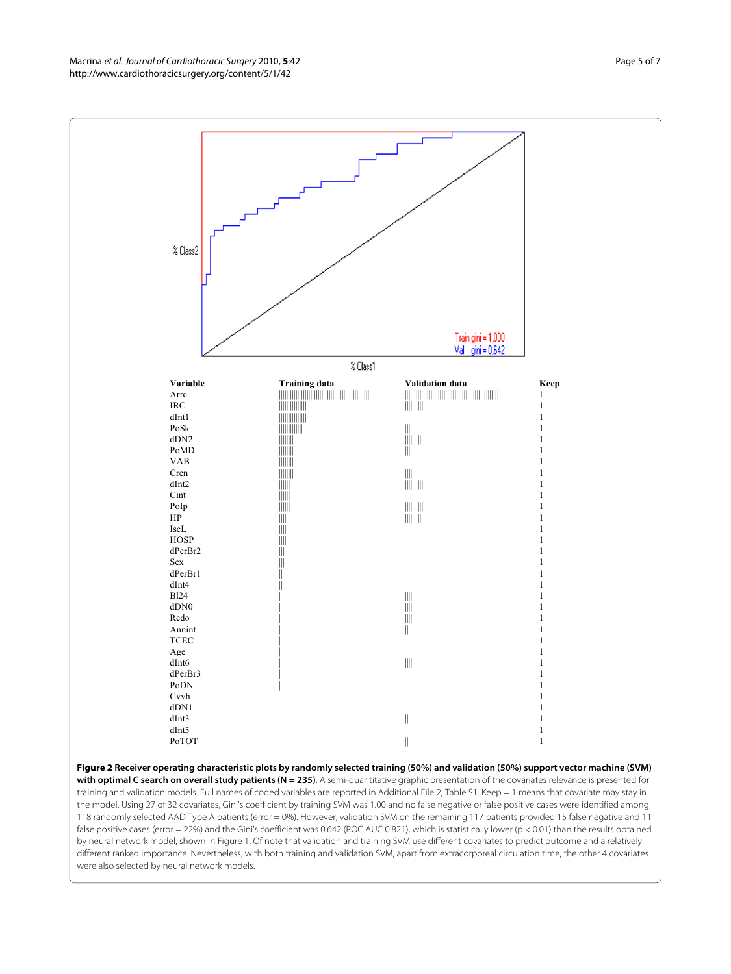Macrina et al. Journal of Cardiothoracic Surgery 2010, **5**:42 http://www.cardiothoracicsurgery.org/content/5/1/42

<span id="page-4-0"></span>

**Figure 2 Receiver operating characteristic plots by randomly selected training (50%) and validation (50%) support vector machine (SVM)**  with optimal C search on overall study patients (N = 235). A semi-quantitative graphic presentation of the covariates relevance is presented for training and validation models. Full names of coded variables are reported in Additional File [2,](#page-6-17) Table S1. Keep = 1 means that covariate may stay in the model. Using 27 of 32 covariates, Gini's coefficient by training SVM was 1.00 and no false negative or false positive cases were identified among 118 randomly selected AAD Type A patients (error = 0%). However, validation SVM on the remaining 117 patients provided 15 false negative and 11 false positive cases (error = 22%) and the Gini's coefficient was 0.642 (ROC AUC 0.821), which is statistically lower (p < 0.01) than the results obtained by neural network model, shown in Figure 1. Of note that validation and training SVM use different covariates to predict outcome and a relatively different ranked importance. Nevertheless, with both training and validation SVM, apart from extracorporeal circulation time, the other 4 covariates were also selected by neural network models.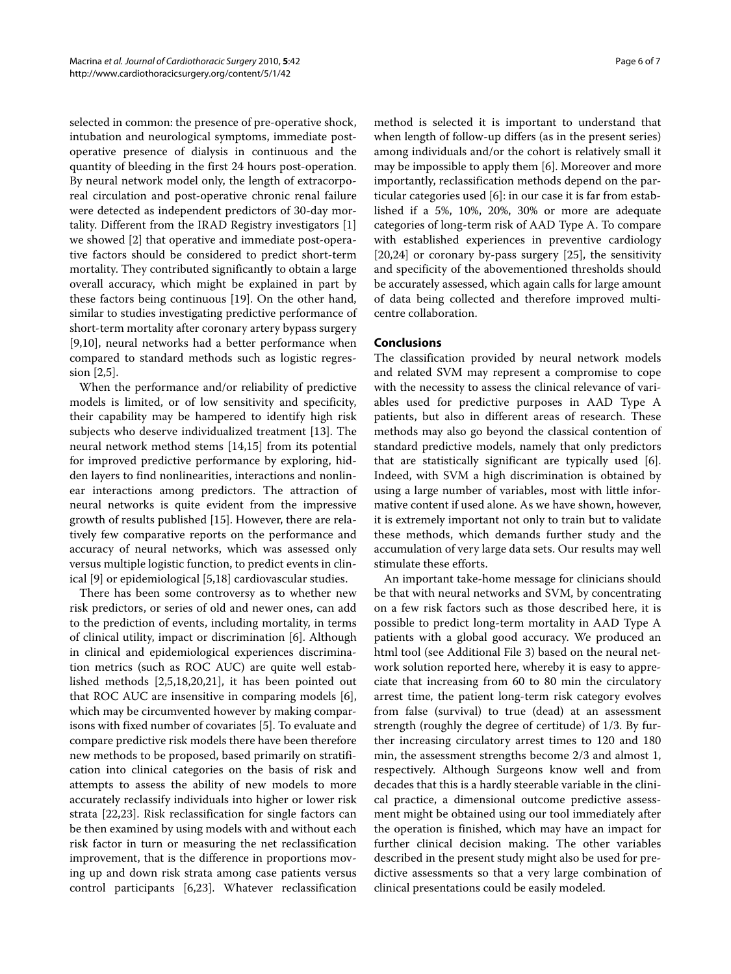selected in common: the presence of pre-operative shock, intubation and neurological symptoms, immediate postoperative presence of dialysis in continuous and the quantity of bleeding in the first 24 hours post-operation. By neural network model only, the length of extracorporeal circulation and post-operative chronic renal failure were detected as independent predictors of 30-day mortality. Different from the IRAD Registry investigators [\[1](#page-6-0)] we showed [[2\]](#page-6-1) that operative and immediate post-operative factors should be considered to predict short-term mortality. They contributed significantly to obtain a large overall accuracy, which might be explained in part by these factors being continuous [[19\]](#page-6-18). On the other hand, similar to studies investigating predictive performance of short-term mortality after coronary artery bypass surgery [[9,](#page-6-19)[10\]](#page-6-7), neural networks had a better performance when compared to standard methods such as logistic regression [\[2](#page-6-1)[,5](#page-6-4)].

When the performance and/or reliability of predictive models is limited, or of low sensitivity and specificity, their capability may be hampered to identify high risk subjects who deserve individualized treatment [[13\]](#page-6-11). The neural network method stems [[14,](#page-6-12)[15\]](#page-6-13) from its potential for improved predictive performance by exploring, hidden layers to find nonlinearities, interactions and nonlinear interactions among predictors. The attraction of neural networks is quite evident from the impressive growth of results published [\[15](#page-6-13)]. However, there are relatively few comparative reports on the performance and accuracy of neural networks, which was assessed only versus multiple logistic function, to predict events in clinical [\[9](#page-6-19)] or epidemiological [\[5](#page-6-4)[,18](#page-6-16)] cardiovascular studies.

There has been some controversy as to whether new risk predictors, or series of old and newer ones, can add to the prediction of events, including mortality, in terms of clinical utility, impact or discrimination [\[6](#page-6-5)]. Although in clinical and epidemiological experiences discrimination metrics (such as ROC AUC) are quite well established methods [\[2](#page-6-1)[,5](#page-6-4)[,18](#page-6-16)[,20](#page-6-20),[21](#page-6-21)], it has been pointed out that ROC AUC are insensitive in comparing models [\[6](#page-6-5)], which may be circumvented however by making comparisons with fixed number of covariates [[5\]](#page-6-4). To evaluate and compare predictive risk models there have been therefore new methods to be proposed, based primarily on stratification into clinical categories on the basis of risk and attempts to assess the ability of new models to more accurately reclassify individuals into higher or lower risk strata [\[22](#page-6-22)[,23](#page-6-23)]. Risk reclassification for single factors can be then examined by using models with and without each risk factor in turn or measuring the net reclassification improvement, that is the difference in proportions moving up and down risk strata among case patients versus control participants [[6](#page-6-5),[23\]](#page-6-23). Whatever reclassification

method is selected it is important to understand that when length of follow-up differs (as in the present series) among individuals and/or the cohort is relatively small it may be impossible to apply them [\[6](#page-6-5)]. Moreover and more importantly, reclassification methods depend on the particular categories used [[6\]](#page-6-5): in our case it is far from established if a 5%, 10%, 20%, 30% or more are adequate categories of long-term risk of AAD Type A. To compare with established experiences in preventive cardiology [[20,](#page-6-20)[24\]](#page-6-24) or coronary by-pass surgery [[25\]](#page-6-25), the sensitivity and specificity of the abovementioned thresholds should be accurately assessed, which again calls for large amount of data being collected and therefore improved multicentre collaboration.

# **Conclusions**

The classification provided by neural network models and related SVM may represent a compromise to cope with the necessity to assess the clinical relevance of variables used for predictive purposes in AAD Type A patients, but also in different areas of research. These methods may also go beyond the classical contention of standard predictive models, namely that only predictors that are statistically significant are typically used [\[6](#page-6-5)]. Indeed, with SVM a high discrimination is obtained by using a large number of variables, most with little informative content if used alone. As we have shown, however, it is extremely important not only to train but to validate these methods, which demands further study and the accumulation of very large data sets. Our results may well stimulate these efforts.

An important take-home message for clinicians should be that with neural networks and SVM, by concentrating on a few risk factors such as those described here, it is possible to predict long-term mortality in AAD Type A patients with a global good accuracy. We produced an html tool (see Additional File [3\)](#page-6-26) based on the neural network solution reported here, whereby it is easy to appreciate that increasing from 60 to 80 min the circulatory arrest time, the patient long-term risk category evolves from false (survival) to true (dead) at an assessment strength (roughly the degree of certitude) of 1/3. By further increasing circulatory arrest times to 120 and 180 min, the assessment strengths become 2/3 and almost 1, respectively. Although Surgeons know well and from decades that this is a hardly steerable variable in the clinical practice, a dimensional outcome predictive assessment might be obtained using our tool immediately after the operation is finished, which may have an impact for further clinical decision making. The other variables described in the present study might also be used for predictive assessments so that a very large combination of clinical presentations could be easily modeled.